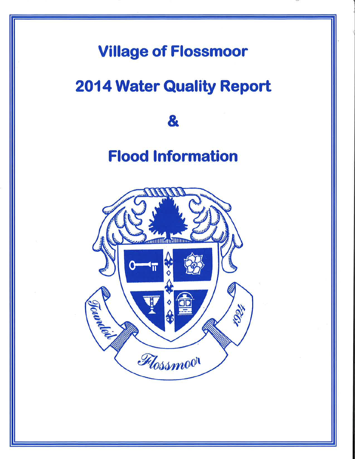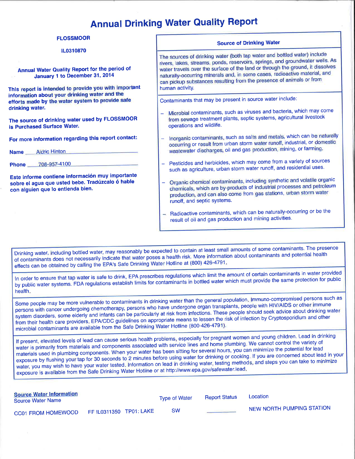## Annual Drinking Water Quality Report

### **FLOSSMOOR**

#### 1L0310870

Annual Water Quality Report for the period of January 1 to December 31, 2014

This report is intended to provide you with important information about your drinking water and the efforts made by the water system to provide safe drinking water.

The source of drinking water used by FLOSSMOOR is Purchased Surface Water.

For more information regarding this report contact:

Name Aldric Hinton

Phone 708-957-4100

Este informe contiene información muy importante sobre el agua que usted bebe. Tradúzcalo ó hable con alguien que lo entienda bien.

### Source of Drinking Water

The sources of drinking water (both tap water and bottled water) include rivers, lakes, streams, ponds, reservoirs, springs, and groundwater wells' As water travels over the surface of the land or through the ground, it dissolves naturally-occurring minerals and, in some cases, radioactive material, and can pickup substances resulting from the presence of animals or from human activitY.

Contaminants that may be present in source water include:

- Microbial contaminants, such as viruses and bacteria, which may come from sewage treatment plants, septic systems, agricultural livestock operations and wildlife.
- Inorganic contaminants, such as salts and metals, which can be naturally occurring or result from urban storm water runoff, industrial, or domestic wastewater discharges, oil and gas production, mining, or farming.
- Pesticides and herbicides, which may come from a variety of sources such as agriculture, urban storm water runoff, and residential uses.
- Organic chemical contaminants, including synthetic and volatile organic chemicals, which are by-products of industrial processes and petroleum production, and can also come from gas stations, urban storm water runoff, and septic systems.
- Radioactive contaminants, which can be naturally-occurring or be the result of oil and gas production and mining activities.

Drinking water, including bottled water, may reasonably be expected to contain at least small amounts of some contaminants. The presence<br>In experiments does not pecessarily indicate that water poses a health risk. More inf of contaminants does not necessarily indicate that water poses a health risk. More information about contaminants and potential health effects can be obtained by calling the EPA's Safe Drinking Water Hotline at (800) 426-4791.

In order to ensure that tap water is safe to drink, EPA prescribes regulations which limit the amount of certain contaminants in water provided in a protection for public In order to ensure that tap water is sale to diffit, ETA presenced regulations inherence that which must provide the same protection for public<br>by public water systems. FDA regulations establish limits for contaminants in health

persons with cancer undergoing chemotherapy, persons who have undergone organ transplants, people with HIV/AIDS or other immune Some people may be more vulnerable to contaminants in drinking water than the general population. Immuno-compromised persons such as system disorders, some elderly and infants can be particularly at risk from infections. These people should seek advice about drinking water from their health care providers. EPA/CDC guidelines on appropriate means to lessen the risk of infection by Cryptosporidium and other microbial contaminants are available from the Safe Drinking Water Hotline (800-426-4791).

water, you may wish to have your water tested. Information on lead in drinking water, testing<br>water, you may wish to have your water tested. Information on lead in drinking water, testing If present, elevated levels of lead can cause serious health problems, especially for pregnant women and young children. Lead in drinking<br>water is primarily from materials and components associated with service lines and h materials used in plumbing components. When your water has been sitting for several hours, you can minimize the potential for lead exposure by flushing your tap for 30 seconds to 2 minutes before using water for drinking or cooking. If you are concerned about lead in your water, you may wish to have your number of the Hotline or at http://www.epa.gov/safewater.lead

| <b>Source Water Information</b><br>Source Water Name |                         | Type of Water | <b>Report Status</b> | Location                  |
|------------------------------------------------------|-------------------------|---------------|----------------------|---------------------------|
| CC01 FROM HOMEWOOD                                   | FF IL0311350 TP01: LAKE | <b>SW</b>     |                      | NEW NORTH PUMPING STATION |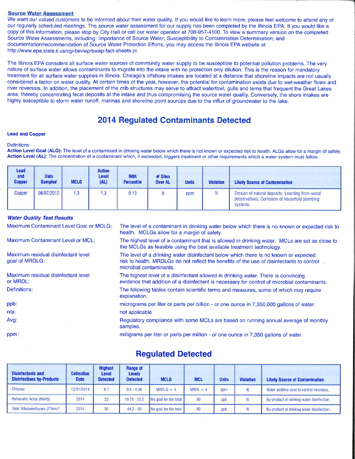### Source Water Assessment

We want our valued customers to be informed about their water quality. lf you would like to learn more, please feel welcome to attend any of our regularly scheduled meetings. The source water assessment for our supply has been completed by the lllinois EPA. lf you would like a copy of this information, please stop by City Hall or call our water operator at 708-957-4100. To view a summary version on the completed Source Water Assessments, including: lmportance of Source Water; Susceptibility to Contamination Determination; and documentation/recommendation of Source Water Protection Efforts, you may access the lllinois EPA website at http://www.epa.state.il.us/cgi-bin/wp/swap-fact-sheets.pl.

The lllinois EPA considers all surface water sources of community water supply to be susceptible to potential pollution problems. The very nature of surface water allows contaminants to migrate into the intake with no protection only dilution. This is the reason for mandatory treatment for all surface water supplies in lllinois. Chicago's offshore intakes are located at a distance that shoreline impacts are not usually considered a factor on water quality. At certain times of the year, however, the potential for contamination exists due to wet-weather flows and river reversals. ln addition, the placement of the crib structures may serve to attract waterfowl, gulls and terns that frequent the Great Lakes area, thereby concentrating fecal deposits at the intake and thus compromising the source water quality. Conversely, the shore intakes are highly susceptible to storm water runoff, marinas and shoreline point sources due to the influx of groundwater to the lake.

## 2014 Regulated Contaminants Detected

#### Lead and Copper

#### Definitions:

Action Level Goal (ALG): The level of a contaminant in drinking water below which there is not known or expected risk to health. ALGs allow for a margin of safety. Action Level (AL): The concentration of a contaminant which, if exceeded, triggers treatment or other requirements which a water system must follow.

| <b>Lead</b><br>and<br><b>Copper</b> | <b>Date</b><br><b>Sampled</b> | <b>MCLG</b> | <b>Action</b><br>Level<br>(AL) | 90th<br><b>Percentile</b> | $#$ Sites<br><b>Over AL</b> | <b>Units</b> | <b>Violation</b> | <b>Likely Source of Contamination</b>                                                                         |
|-------------------------------------|-------------------------------|-------------|--------------------------------|---------------------------|-----------------------------|--------------|------------------|---------------------------------------------------------------------------------------------------------------|
| Copper                              | 08/07/2012                    | l.3         | 3. ا                           | 0.13                      |                             | ppm          |                  | Erosion of natural deposits; Leaching from wood<br>preservatives; Corrosion of household plumbing<br>systems. |

### **Water Quality Test Results**

| Maximum Contaminant Level Goal or MCLG:               | The level of a contaminant in drinking water below which there is no known or expected risk to<br>health. MCLGs allow for a margin of safety.                                                                |  |  |  |  |  |
|-------------------------------------------------------|--------------------------------------------------------------------------------------------------------------------------------------------------------------------------------------------------------------|--|--|--|--|--|
| Maximum Contaminant Level or MCL:                     | The highest level of a contaminant that is allowed in drinking water. MCLs are set as close to<br>the MCLGs as feasible using the best available treatment technology.                                       |  |  |  |  |  |
| Maximum residual disinfectant level<br>goal of MRDLG: | The level of a drinking water disinfectant below which there is no known or expected<br>risk to health. MRDLGs do not reflect the benefits of the use of disinfectants to control<br>microbial contaminants. |  |  |  |  |  |
| Maximum residual disinfectant level<br>or MRDL:       | The highest level of a disinfectant allowed in drinking water. There is convincing<br>evidence that addition of a disinfectant is necessary for control of microbial contaminants.                           |  |  |  |  |  |
| Definitions:                                          | The following tables contain scientific terms and measures, some of which may require<br>explanation.                                                                                                        |  |  |  |  |  |
| ppb:                                                  | micrograms per liter or parts per billion - or one ounce in 7,350,000 gallons of water.                                                                                                                      |  |  |  |  |  |
| $n/a$ :                                               | not applicable                                                                                                                                                                                               |  |  |  |  |  |
| Avg:                                                  | Regulatory compliance with some MCLs are based on running annual average of monthly<br>samples.                                                                                                              |  |  |  |  |  |
| ppm:                                                  | milligrams per liter or parts per million - or one ounce in 7,350 gallons of water.                                                                                                                          |  |  |  |  |  |

## Regulated Detected

| <b>Disinfectants and</b><br><b>Disinfections by-Products</b> | <b>Collection</b><br><b>Date</b> | <b>Highest</b><br><b>Level</b><br><b>Detected</b> | Range of<br><b>Levels</b><br><b>Detected</b> | <b>MCLG</b>           | <b>MCL</b> | <b>Units</b> | <b>Violation</b> | <b>Likely Source of Contamination</b>      |
|--------------------------------------------------------------|----------------------------------|---------------------------------------------------|----------------------------------------------|-----------------------|------------|--------------|------------------|--------------------------------------------|
| Chlorine                                                     | 12/31/2014                       | 0.7                                               | $0.5 - 0.96$                                 | $MRDLG = 4$           | $MRDL = 4$ | ppm          |                  | Water additive used to control microbes.   |
| Haloacetic Acids (HAA5)                                      | 2014                             | 22                                                | $10.75 - 22.2$                               | No goal for the total | 60         | ppb          |                  | By-product of drinking water disinfection. |
| Total Trihalomethanes (TThm)*                                | 2014                             | 50                                                | $44.2 - 50$                                  | No goal for the total | 80         | ppb          |                  | By-product of drinking water disinfection. |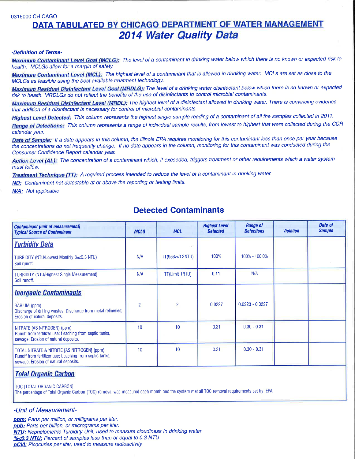#### 0316000 CHICAGO

## DATA TABULATED BY CHICAGO DEPARTMENT OF WATER MANAGEMENT 2014 Water Quality Data

### -Definition of Terms-

Maximum Contaminant Level Goal (MCLG): The level of a contaminant in drinking water below which there is no known or expected risk to health. MCLGs allow for a margin of safety.

Maximum Contaminant Level (MCL): The highest level of a contaminant that is allowed in drinking water. MCLs are set as close to the MCLGs as feasible using the best available treatment technology.

Maximum Residual Disinfectant Level Goal (MRDLG): The level of a drinking water disinfectant below which there is no known or expected risk to health. MRDLGs do not reftect the benefits of the use of disinfectants to control microbial contaminants.

Maximum Residual Disinfectant Level (MRDL): The highest level of a disinfectant allowed in drinking water. There is convincing evidence that addition of a disinfectant is necessary for control of microbial contaminants.

Highest Level Detected: This column represents the highest single sample reading of a contaminant of all the samples collected in 2011.

Range of Detections: This column represents a range of individual sample results, from lowest to highest that were collected during the CCR calendar year.

Date of Sample: If a date appears in this column, the Illinois EPA requires monitoring for this contaminant less than once per year because the concentrations do not frequently change. If no date appears in the column, monitoring for this contaminant was conducted during the Consumer Confidence Report calendar year.

Action Level (AL): The concentration of a contaminant which, if exceeded, triggers treatment or other requirements which a water system must follow.

Treatment Technique (TT): A required process intended to reduce the level of a contaminant in drinking water.

**ND:** Contaminant not detectable at or above the reporting or testing limits.

**N/A:** Not applicable

### Detected Contaminants

| <b>Contaminant (unit of measurement)</b><br><b>Typical Source of Contaminant</b>                                                                       | <b>MCLG</b>    | <b>MCL</b>            | <b>Highest Level</b><br><b>Detected</b> | Range of<br><b>Detections</b> | <b>Violation</b> | Date of<br><b>Sample</b> |
|--------------------------------------------------------------------------------------------------------------------------------------------------------|----------------|-----------------------|-----------------------------------------|-------------------------------|------------------|--------------------------|
| <b>Turbidity Data</b>                                                                                                                                  |                |                       |                                         |                               |                  |                          |
| TURBIDITY (NTU/Lowest Monthly %≤0.3 NTU)<br>Soil runoff.                                                                                               | N/A            | TT(95%≤0.3NTU)        | 100%                                    | 100% - 100.0%                 |                  |                          |
| <b>TURBIDITY (NTU/Highest Single Measurement)</b><br>Soil runoff.                                                                                      | N/A            | <b>TT(Limit 1NTU)</b> | 0.11                                    | N/A                           |                  |                          |
| <b>Inorganic Contaminants</b><br><b>BARIUM</b> (ppm)<br>Discharge of drilling wastes; Discharge from metal refineries;<br>Erosion of natural deposits. | $\overline{2}$ | $\overline{2}$        | 0.0227                                  | $0.0223 - 0.0227$             |                  |                          |
| NITRATE (AS NITROGEN) (ppm)<br>Runoff from fertilizer use: Leaching from septic tanks,<br>sewage: Erosion of natural deposits.                         | 10             | 10                    | 0.31                                    | $0.30 - 0.31$                 |                  |                          |
| TOTAL NITRATE & NITRITE [AS NITROGEN] (ppm)<br>Runoff from fertilizer use; Leaching from septic tanks,<br>sewage; Erosion of natural deposits.         | 10             | 10                    | 0.31                                    | $0.30 - 0.31$                 |                  |                          |
| [대통령 2011년 1월 20일 - 대한민국 19월 20일 10월 20일 11월 20일 11월 20일 11월 20일 11월 20일 11월 20일 11월 20일 11월 20일 11월 20일 11월 20일                                       |                |                       |                                         |                               |                  |                          |

### Total 0rganic Carbon

TOC [TOTAL ORGANIC CARBON]

The percentage of Total Organic Carbon (TOC) removal was measured each month and the system met all TOC removal requirements set by IEPA

### -Unit of Measurement-

ppm: Parts per million, or milligrams per liter. ppb: Parts per billion, or micrograms per liter. NTU: Nephelometric Turbidity Unit, used to measure cloudiness in drinking water %<0.3 NTU: Percent of samples less than or equal to 0.3 NTU pCi/l: Picocuries per liter, used to measure radioactivity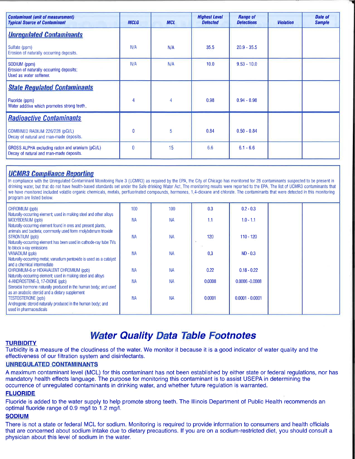| <b>Contaminant (unit of measurement)</b><br><b>Typical Source of Contaminant</b>           | <b>MCLG</b>  | <b>MCL</b>     | <b>Highest Level</b><br><b>Detected</b> | <b>Range of</b><br><b>Detections</b> | <b>Violation</b> | Date of<br><b>Sample</b> |
|--------------------------------------------------------------------------------------------|--------------|----------------|-----------------------------------------|--------------------------------------|------------------|--------------------------|
| <b>Unregulated Contaminants</b>                                                            |              |                |                                         |                                      |                  |                          |
| Sulfate (ppm)<br>Erosion of naturally occurring deposits.                                  | N/A          | N/A            | 35.5                                    | $20.9 - 35.5$                        |                  |                          |
| SODIUM (ppm)<br>Erosion of naturally occurring deposits;<br>Used as water softener.        | N/A          | N/A            | 10.0                                    | $9.53 - 10.0$                        |                  |                          |
| <b>State Requiated Contaminants</b>                                                        |              |                |                                         |                                      |                  |                          |
| Fluoride (ppm)<br>Water additive which promotes strong teeth.                              | 4            | $\overline{4}$ | 0.98                                    | $0.94 - 0.98$                        |                  |                          |
| <b>Radioactive Contaminants</b>                                                            |              |                |                                         |                                      |                  |                          |
| COMBINED RADIUM 226/228 (pCi/L)<br>Decay of natural and man-made deposits.                 | 0            | 5              | 0.84                                    | $0.50 - 0.84$                        |                  |                          |
| GROSS ALPHA excluding radon and uranium (pCi/L)<br>Decay of natural and man-made deposits. | $\mathbf{0}$ | 15             | 6.6                                     | $6.1 - 6.6$                          |                  |                          |

### **UCMR3 Compliance Reporting**

In compliance with the Unregulated Contaminant Monitoring Rule 3 (UCMR3) as required by the EPA, the City of Chicago has monitored for 28 contaminants suspected to be present in drinking water, but that do not have health-based standards set under the Safe drinking Water Act. The monitoring results were reported to the EPA. The list of UCMR3 contaminants that we have monitored included volatile organic chemicals, metals, perfluorinated compounds, hormones, 1,4-dioxane and chlorate. The contaminants that were detected in this monitoring program are listed below.

| CHROMIUM (ppb)                                                                                                                                            | 100       | 100       | 0.3    | $0.2 - 0.3$       |  |
|-----------------------------------------------------------------------------------------------------------------------------------------------------------|-----------|-----------|--------|-------------------|--|
| Naturally-occurring element; used in making steel and other alloys<br>  MOLYBDENUM (ppb)<br>Naturally-occurring element found in ores and present plants, | <b>NA</b> | <b>NA</b> | 1.1    | $1.0 - 1.1$       |  |
| animals and bacteria; commonly used form molybdenum trioxide<br>STRONTIUM (ppb)<br>Naturally-occurring element has been used in cathode-ray tube TVs      | <b>NA</b> | <b>NA</b> | 120    | $110 - 120$       |  |
| to block x-ray emissions<br>VANADIUM (ppb)                                                                                                                | <b>NA</b> | <b>NA</b> | 0.3    | $ND - 0.3$        |  |
| Naturally-occurring metal; vanadium pentoxide is used as a catalyst<br>and a chemical intermediate                                                        | <b>NA</b> | <b>NA</b> | 0.22   | $0.18 - 0.22$     |  |
| CHROMIUM-6 or HEXAVALENT CHROMIUM (ppb)<br>Naturally-occurring element; used in making steel and alloys                                                   |           |           |        |                   |  |
| 4-ANDROSTENE-3, 17-DIONE (ppb)                                                                                                                            | <b>NA</b> | <b>NA</b> | 0.0008 | $0.0006 - 0.0008$ |  |
| Steroidal hormone naturally produced in the human body; and used<br>as an anabolic steroid and a dietary supplement                                       |           |           |        |                   |  |
| TESTOSTERONE (ppb)                                                                                                                                        | <b>NA</b> | <b>NA</b> | 0.0001 | $0.0001 - 0.0001$ |  |
| Androgenic steroid naturally produced in the human body; and<br>used in pharmaceuticals                                                                   |           |           |        |                   |  |

## **Water Quality Data Table Footnotes**

### **TURBIDITY**

Turbidity is a measure of the cloudiness of the water. We monitor it because it is a good indicator of water quality and the effectiveness of our filtration system and disinfectants.

### **UNREGULATED CONTAMINANTS**

A maximum contaminant level (MCL) for this contaminant has not been established by either state or federal regulations, nor has mandatory health effects language. The purpose for monitoring this contaminant is to assist USEPA in determining the occurrence of unregulated contaminants in drinking water, and whether future regulation is warranted.

### **FLUORIDE**

Fluoride is added to the water supply to help promote strong teeth. The Illinois Department of Public Health recommends an optimal fluoride range of 0.9 mg/l to 1.2 mg/l.

### **SODIUM**

There is not a state or federal MCL for sodium. Monitoring is required to provide information to consumers and health officials that are concerned about sodium intake due to dietary precautions. If you are on a sodium-restricted diet, you should consult a physician about this level of sodium in the water.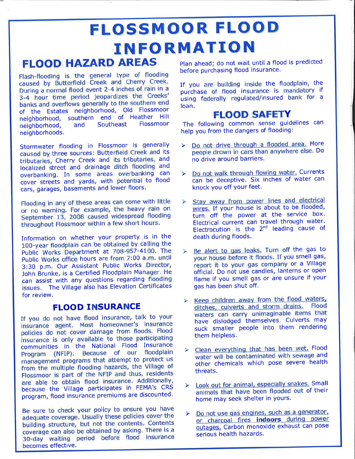# FLOSSMOOR FLOOD INFORMATTON FLOOD HAZARD AREAS

Flash-flooding is the general type of flooding caused by Butterfield Creek and Cherry Creek' During a normal flood event 2-4 inches of rain in <sup>a</sup> 3-4 ñour time period jeopardizes the Creeks' banks and overflows generally to the southern end of the Estates neighborhood, Old Flossmoor neighborhood, southern end of Heather Hill<br>neighborhood, and Southeast Flossmoor neighborhood, neighborhoods.

Stormwater flooding in Flossmoor is generally caused by three sources: Butterfield Creek and its tributaries, Cherry Creek and its tributaries, and localized street and drainage ditch flooding and overbanking. In some areas overbanking can cover streets and yards, with potential to flood cars, garages, basements and lower floors.

Flooding in any of these areas can come with little or no warning. For example, the heavy rain on September 13, 2008 caused widespread flooding throughout Flossmoor within a few short hours.

Information on whether your property is in the 100-year floodplain can be obtained by calling the Public Works Department at 708-957-4100. The Public Works office hours are from 7:00 a.m. until 3:30 p.m. Our Assistant Public Works Director, John Brunke, is a Certified Floodplain Manager. He can assist with any questions regarding flooding issues. The Village also has Elevation Certificates for review.

## FLOOD INSURANCE

If you do not have flood insurance, talk to your insurance agent. Most homeowner's insurance policies do not cover damage from floods. Flood insurance is only available to those participating communities in the National Flood Insurance Program (NFIP). Because of our floodplain mañagement programs that attempt to protect us from the multiple flooding hazards, the Village of Flossmoor is part of the NFIP and thus, residents are able to obtain flood insurance. Additionally, because the Village participates in FEMA's CRS program, flood insurance premiums are discounted.

Be sure to check your policy to ensure you have adequate coverage. Usually these policies cover the building structure, but not the contents. Contents coverage can also be obtained by asking. There is a 30-day waiting period before flood insurance becomes effective.

Plan ahead; do not wait until a flood is predicted before purchasing flood insurance.

If you are building inside the floodplain, thepurchase of flood insurance is mandatory if using federally regulated/insured bank for <sup>a</sup> loan,

## FLOOD SAFETY

The following common sense guidelines can help you from the dangers of flooding:

- Do not drive through a flooded area. More<br>people drown in cars than anywhere else. Do  $\blacktriangleright$ no drive around barriers.
- Do not walk through flowing water. Currents<br>can be deceptive. Six inches of water can  $\blacktriangleright$ knock you off your feet.
- wires. If your house is about to be flooded, turn off the power at the service box. Electrical current can travel through water. Electrocution is the 2<sup>nd</sup> leading cause of death during floods.
- $\triangleright$  Be alert to gas leaks. Turn off the gas to your house before it floods. If you smell gas, report it to your gas company or a Village official. Do not use candles, lanterns or open flame if you smell gas or are unsure if your gas has been shut off.
- $\triangleright$  Keep children away from the flood waters, ditches, culverts and storm drains. Flood waters can carry unimaginable items that have dislodged themselves. Culverts may suck smaller people into them rendering them helpless.
- $\ge$  Clean everything that has been wet. Flood water will be contaminated with sewage and other chemicals which pose severe health threats.
- Look out for animal, especially snakes. Small<br>animals that have been flooded out of their  $\blacktriangle$ home may seek shelter in yours.
- Do not use gas engines, such as a generator,<br>or charcoal fires **indoors** during power  $\blacktriangleright$ outages. Carbon monoxide exhaust can pose serious health hazards.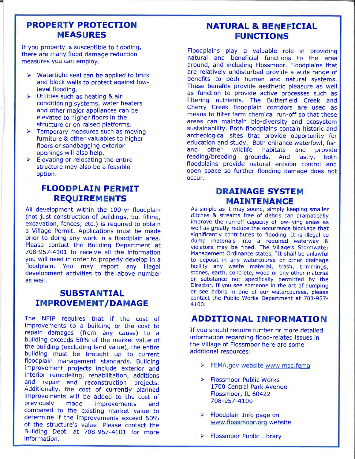## PROPERTY PROTECTION MEASURES

-

If you property is susceptible to flooding, there are many flood damage reduction measures you can employ.

- $\triangleright$  Watertight seal can be applied to brick and block walls to protect against lowlevel flooding.<br>Utilities such as heating & air
- $\blacktriangleright$ conditioning systems, water heaters and other major appliances can be elevated to higher floors in the
- structure or on raised platforms.<br>Temporary measures such as moving  $\blacktriangle$ furniture & other valuables to higher floors or sandbagging exterior
- openings will also help.<br>Elevating or relocating the entire  $\blacktriangle$ structure may also be a feasible option.

## FLOODPLAIN PERMIT REQUIREMENTS

All development within the 100-yr floodplain (not just construction of buildings, but filling, excavation, fences, etc.) is required to obtain a Village Permit, Applications must be made prior to doing any work in a floodplain area. Please contact the Building Department at 708-957-4101 to receive all the information you will need in order to properly develop in <sup>a</sup> floodplain. You may report any illegal development activities to the above number as well.

## SUBSTANTIAL IMPROVEMENT/DAMAGE

The NFIP requires that if the cost of improvements to a building or the cost to repair damages (from any cause) to <sup>a</sup> building exceeds 50% of the market value of the building (excluding land value), the entire building must be brought up to current floodplain management standards. Building improvement projects include exterior and<br>interior remodeling, rehabilitation, additions and repair and reconstruction projects. Additionally, the cost of currently planned improvements will be added to the cost of previously made improvements and compared to the existing market value to determine if the improvements exceed 50% of the structure's value. Please contact the Building Dept. at 708-957-4101 for more information.

## NATURAL & BENEFICIAL FUNCTIONS

Floodplains play a valuable role in providing natural and beneficial functions to the area around, and including Flossmoor. Floodplains that are relatively undisturbed provide a wide range of benefits to both human and natural systems. These benefits provide aesthetic pleasure as well as function to provide active processes such as filtering nutrients. The Butterfield Creek and Cherry Creek floodplain corridors are used as means to filter farm chemical run-off so that these areas can maintain bio-diversity and ecosystem sustainability. Both floodplains contain historic and archeological sites that provide opportunity for education and study. Both enhance waterfowl, fish<br>and other wildlife habitats and provide<br>feeding/breeding grounds. And lastly, both feeding/breeding floodplains provide natural erosion control and open space so further flooding damage does not occur.

### DRAINAGE SYSTEM MAINTENANCE

As simple as it may sound, simply keeping smaller ditches & streams free of debris can dramatically improve the run-off capacity of low-lying areas as well as greatly reduce the occurrence blockage that significantly contributes to flooding. It is illegal to dump materials into a required waterway & violators may be fined. The Village's Stormwater Management Ordinance states, "It shall be unlawful to deposit in any watercourse or other drainage facility any waste material, trash, trimmings, stones, earth, concrete, wood or any other material or substance not specifically permitted by the Director. If you see someone in the act of dumping or see debris in one of our watercourses, please contact the Public Works Department at 708-957- 4100.

## **ADDITIONAL INFORMATION**

If you should require further or more detailed information regarding flood-related issues in the Village of Flossmoor here are some additional resources:

- > FEMA.gov website www.msc.fema
- > Flossmoor Public Works 1700 Central Park Avenue Flossmoor, IL 60422 708-957-4tOO
- Floodplain Info page on www.flossmoor.orq website
- ▶ Flossmoor Public Library